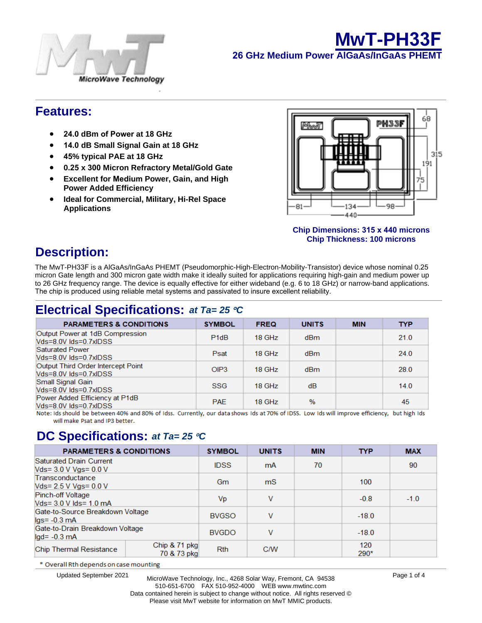



## **Features:**

- **24 dBm of Power at 18 GHz**
- **14 dB Small Signal Gain at 18 GHz**
- **45% typical PAE at 18 GHz**
- **0.25 x 300 Micron Refractory Metal/Gold Gate**
- **Excellent for Medium Power, Gain, and High Power Added Efficiency**
- **Ideal for Commercial, Military, Hi-Rel Space Applications**

### **&KLS'LPHQVLRQV [ PLFURQV &KS7KFNQHVVPLFURQV**

# **Description:**

The MwT-PH33F is a AlGaAs/InGaAs PHEMT (Pseudomorphic-High-Electron-Mobility-Transistor) device whose nominal 0.25 micron Gate length and 300 micron gate width make it ideally suited for applications requiring high-gain and medium power up to 26 GHz frequency range. The device is equally effective for either wideband (e.g. 6 to 18 GHz) or narrow-band applications. The chip is produced using reliable metal systems and passivated to insure excellent reliability.

# **Electrical Specifications:** *at Ta= 25* °*C*

| <b>PARAMETERS &amp; CONDITIONS</b>                                | <b>SYMBOL</b>                 | <b>FREQ</b> | <b>UNITS</b>  | <b>MIN</b> | <b>TYP</b> |
|-------------------------------------------------------------------|-------------------------------|-------------|---------------|------------|------------|
| Output Power at 1dB Compression<br>$Nds = 8.0V$ $lds = 0.7x$ IDSS | P <sub>1</sub> d <sub>B</sub> | 18 GHz      | dBm           |            | 21.0       |
| <b>Saturated Power</b><br>$Nds = 8.0V$ $lds = 0.7xIDS$            | Psat                          | 18 GHz      | dBm           |            | 24.0       |
| Output Third Order Intercept Point<br>Vds=8.0V lds=0.7xIDSS       | OIP3                          | 18 GHz      | dBm           |            | 28.0       |
| Small Signal Gain<br>Vds=8.0V lds=0.7xlDSS                        | <b>SSG</b>                    | 18 GHz      | dB            |            | 14.0       |
| Power Added Efficiency at P1dB<br>Vds=8.0V lds=0.7xIDSS           | <b>PAE</b>                    | 18 GHz      | $\frac{9}{6}$ |            | 45         |

Note: Ids should be between 40% and 80% of Idss. Currently, our data shows Ids at 70% of IDSS. Low Ids will improve efficiency, but high Ids will make Psat and IP3 better.

## **DC Specifications:** *at Ta= 25* °*C*

| <b>PARAMETERS &amp; CONDITIONS</b>                                | <b>SYMBOL</b> | <b>UNITS</b>   | <b>MIN</b> | <b>TYP</b> | <b>MAX</b>    |        |
|-------------------------------------------------------------------|---------------|----------------|------------|------------|---------------|--------|
| Saturated Drain Current<br>Vds= 3.0 V Vgs= 0.0 V                  |               | <b>IDSS</b>    | mA         | 70         |               | 90     |
| Transconductance<br>Vds= 2.5 V Vgs= 0.0 V                         | Gm            | m <sub>S</sub> |            | 100        |               |        |
| <b>Pinch-off Voltage</b><br>Vds= 3.0 V lds= 1.0 mA                |               | Vp             | v          |            | $-0.8$        | $-1.0$ |
| Gate-to-Source Breakdown Voltage<br>$\lg s = -0.3$ mA             | <b>BVGSO</b>  | v              |            | $-18.0$    |               |        |
| Gate-to-Drain Breakdown Voltage<br>$\text{lgd} = -0.3 \text{ mA}$ | <b>BVGDO</b>  | v              |            | $-18.0$    |               |        |
| Chip & 71 pkg<br>Chip Thermal Resistance<br>70 & 73 pkg           |               | <b>Rth</b>     | <b>C/W</b> |            | 120<br>$290*$ |        |

\* Overall Rth depends on case mounting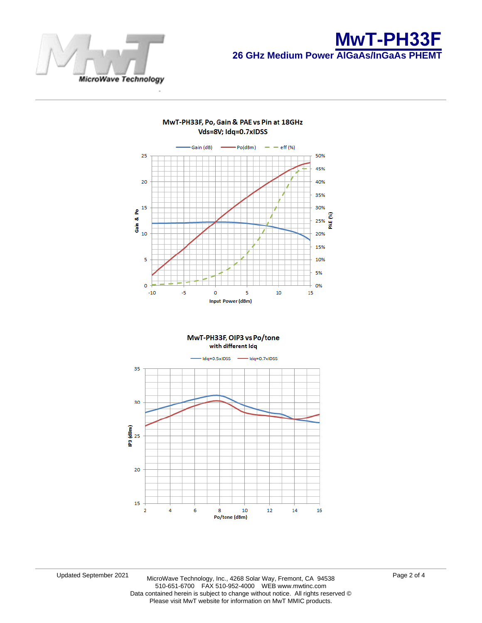



#### MwT-PH33F, Po, Gain & PAE vs Pin at 18GHz Vds=8V; Idq=0.7xIDSS



MwT-PH33F, OIP3 vs Po/tone

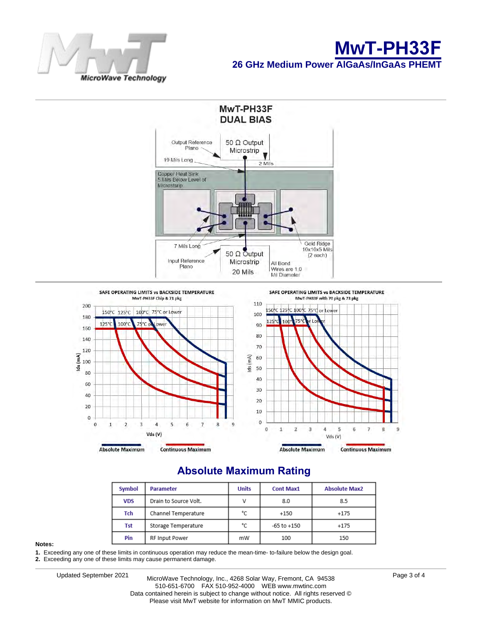





## **Absolute Maximum Rating**

| Symbol     | <b>Parameter</b>      | <b>Units</b> | <b>Cont Max1</b> | <b>Absolute Max2</b> |
|------------|-----------------------|--------------|------------------|----------------------|
| <b>VDS</b> | Drain to Source Volt. | ν            | 8.0              | 8.5                  |
| Tch        | Channel Temperature   | °C           | $+150$           | $+175$               |
| Tst        | Storage Temperature   | °C           | $-65$ to $+150$  | $+175$               |
| Pin        | <b>RF Input Power</b> | mW           | 100              | 150                  |

#### **Notes:**

**1.** Exceeding any one of these limits in continuous operation may reduce the mean-time- to-failure below the design goal.

**2.** Exceeding any one of these limits may cause permanent damage.